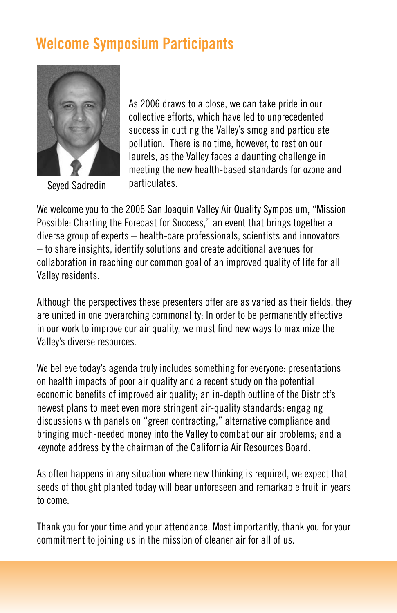## **Welcome Symposium Participants**



Seyed Sadredin

As 2006 draws to a close, we can take pride in our collective efforts, which have led to unprecedented success in cutting the Valley's smog and particulate pollution. There is no time, however, to rest on our laurels, as the Valley faces a daunting challenge in meeting the new health-based standards for ozone and particulates.

We welcome you to the 2006 San Joaquin Valley Air Quality Symposium, "Mission Possible: Charting the Forecast for Success," an event that brings together a diverse group of experts – health-care professionals, scientists and innovators – to share insights, identify solutions and create additional avenues for collaboration in reaching our common goal of an improved quality of life for all Valley residents.

Although the perspectives these presenters offer are as varied as their fields, they are united in one overarching commonality: In order to be permanently effective in our work to improve our air quality, we must find new ways to maximize the Valley's diverse resources.

We believe today's agenda truly includes something for everyone: presentations on health impacts of poor air quality and a recent study on the potential economic benefits of improved air quality; an in-depth outline of the District's newest plans to meet even more stringent air-quality standards; engaging discussions with panels on "green contracting," alternative compliance and bringing much-needed money into the Valley to combat our air problems; and a keynote address by the chairman of the California Air Resources Board.

As often happens in any situation where new thinking is required, we expect that seeds of thought planted today will bear unforeseen and remarkable fruit in years to come.

Thank you for your time and your attendance. Most importantly, thank you for your commitment to joining us in the mission of cleaner air for all of us.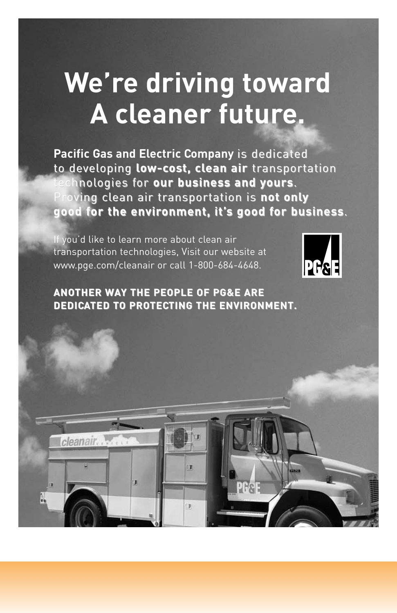# **We're driving toward A cleaner future.**

Pacific Gas and Electric Company is dedicated to developing low-cost, clean air transportation chnologies for our business and yours. Proving clean air transportation is not only **good for the envir the environment, it' onment, it's good for busines or business**.

PR<sub>S</sub>F

If you'd like to learn more about clean air transportation technologies, Visit our website at www.pge.com/cleanair or call 1-800-684-4648.

cleanair.



#### **ANOTHER WAY THE PEOPLE OF PG&E ARE DEDICATED TO PROTECTING THE ENVIRONMENT. TING THE ENVIRONMENT.**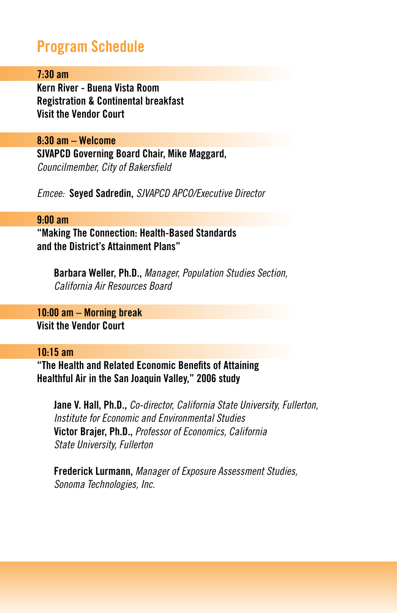### **Program Schedule**

#### **7:30 am**

**Kern River - Buena Vista Room Registration & Continental breakfast Visit the Vendor Court**

**8:30 am – Welcome SJVAPCD Governing Board Chair, Mike Maggard,**  *Councilmember, City of Bakersfield*

*Emcee:* **Seyed Sadredin,** *SJVAPCD APCO/Executive Director* 

#### **9:00 am**

**"Making The Connection: Health-Based Standards and the District's Attainment Plans"**

**Barbara Weller, Ph.D.,** *Manager, Population Studies Section, California Air Resources Board* 

**10:00 am – Morning break Visit the Vendor Court** 

#### **10:15 am**

**"The Health and Related Economic Benefits of Attaining Healthful Air in the San Joaquin Valley," 2006 study** 

**Jane V. Hall, Ph.D.,** *Co-director, California State University, Fullerton, Institute for Economic and Environmental Studies* **Victor Brajer, Ph.D.,** *Professor of Economics, California State University, Fullerton* 

**Frederick Lurmann,** *Manager of Exposure Assessment Studies, Sonoma Technologies, Inc.*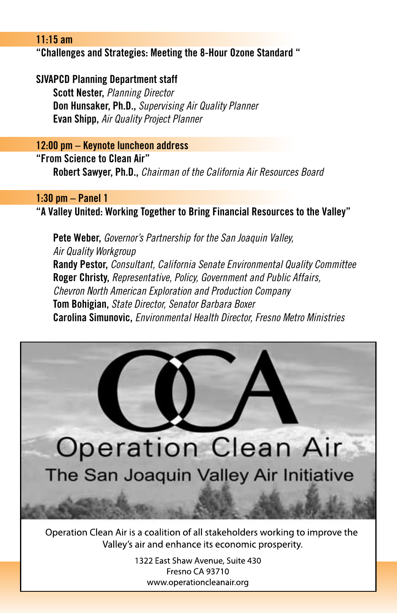#### **11:15 am**

#### **"Challenges and Strategies: Meeting the 8-Hour Ozone Standard "**

#### **SJVAPCD Planning Department staff**

**Scott Nester,** *Planning Director*  **Don Hunsaker, Ph.D.,** *Supervising Air Quality Planner* **Evan Shipp,** *Air Quality Project Planner*

#### **12:00 pm – Keynote luncheon address**

**"From Science to Clean Air"**

**Robert Sawyer, Ph.D.,** *Chairman of the California Air Resources Board* 

#### **1:30 pm – Panel 1**

**"A Valley United: Working Together to Bring Financial Resources to the Valley"** 

**Pete Weber,** *Governor's Partnership for the San Joaquin Valley, Air Quality Workgroup* **Randy Pestor,** *Consultant, California Senate Environmental Quality Committee* **Roger Christy,** *Representative, Policy, Government and Public Affairs, Chevron North American Exploration and Production Company* **Tom Bohigian,** *State Director, Senator Barbara Boxer* **Carolina Simunovic,** *Environmental Health Director, Fresno Metro Ministries*



Operation Clean Air is a coalition of all stakeholders working to improve the Valley's air and enhance its economic prosperity.

> 1322 East Shaw Avenue, Suite 430 Fresno CA 93710 www.operationcleanair.org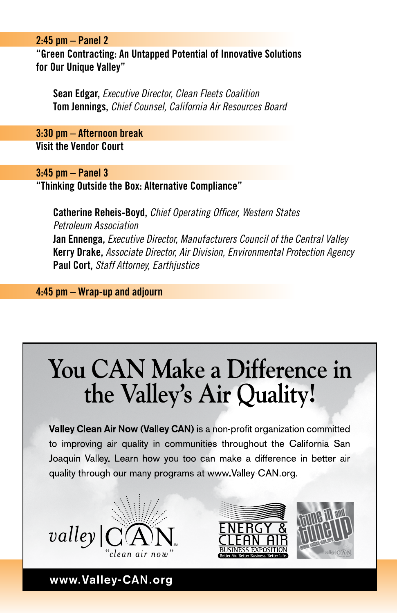#### **2:45 pm – Panel 2**

**"Green Contracting: An Untapped Potential of Innovative Solutions for Our Unique Valley"** 

**Sean Edgar,** *Executive Director, Clean Fleets Coalition*  **Tom Jennings,** *Chief Counsel, California Air Resources Board*

**3:30 pm – Afternoon break Visit the Vendor Court**

#### **3:45 pm – Panel 3**

**"Thinking Outside the Box: Alternative Compliance"** 

**Catherine Reheis-Boyd,** *Chief Operating Officer, Western States Petroleum Association* **Jan Ennenga,** *Executive Director, Manufacturers Council of the Central Valley* **Kerry Drake,** *Associate Director, Air Division, Environmental Protection Agency*  **Paul Cort,** *Staff Attorney, Earthjustice*

**4:45 pm – Wrap-up and adjourn** 

# You CAN Make a Difference in the Valley's Air Quality!

**HALF PAGE SPONSOR AD FOR VALLEY NOW (Valley C** Joaquin Valley. Learn how you too can make a difference in better air quality through our many programs at www.Valley-CAN.org.







www.Valley-CAN.org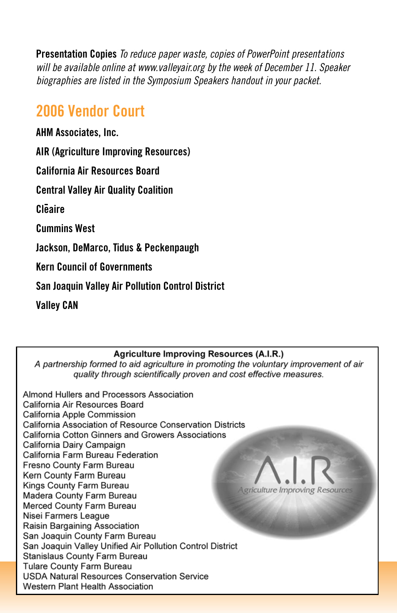**Presentation Copies** *To reduce paper waste, copies of PowerPoint presentations will be available online at www.valleyair.org by the week of December 11. Speaker biographies are listed in the Symposium Speakers handout in your packet.*

## **2006 Vendor Court**

**AHM Associates, Inc.**

**AIR (Agriculture Improving Resources)**

**California Air Resources Board**

**Central Valley Air Quality Coalition**

**Cleaire**

**Cummins West**

**Jackson, DeMarco, Tidus & Peckenpaugh**

**Kern Council of Governments**

**San Joaquin Valley Air Pollution Control District**

**Valley CAN**

#### **Agriculture Improving Resources (A.I.R.)**

A partnership formed to aid agriculture in promoting the voluntary improvement of air quality through scientifically proven and cost effective measures.

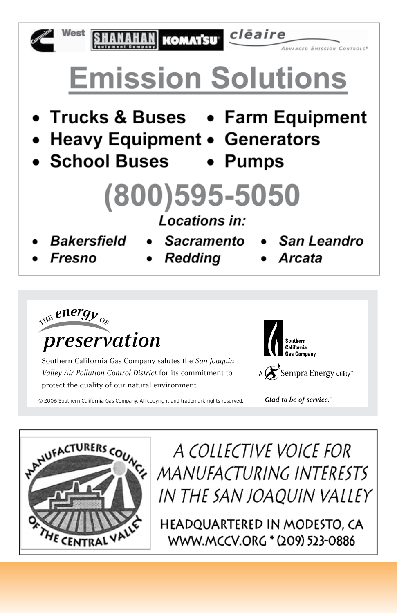

cleaire **KOMATSU** 

**Emission Solutions** 

- Trucks & Buses Farm Equipment
- Heavy Equipment Generators
- School Buses



# (800)595-5050

Locations in:

- **Bakersfield**
- **Sacramento**
- San Leandro

OVANCED EMISSION CONTROLS®

- 
- Fresno Redding Arcata
- 

*preservation*  $\frac{1}{2}$   $\frac{1}{2}$   $\frac{1}{2}$   $\frac{1}{2}$   $\frac{1}{2}$   $\frac{1}{2}$   $\frac{1}{2}$   $\frac{1}{2}$   $\frac{1}{2}$   $\frac{1}{2}$ 

Southern California Gas Company salutes the *San Joaquin Valley Air Pollution Control District* for its commitment to protect the quality of our natural environment.

A  $\mathcal S$  Sempra Energy utility"

Glad to be of service."

© 2006 Southern California Gas Company. All copyright and trademark rights reserved.



A COLLECTIVE VOICE FOR MANUFACTURING INTERESTS IN THE SAN JOAOUIN VALLEY

HEADQUARTERED IN MODESTO, CA WWW.MCCV.ORG \* (209) 523-0886